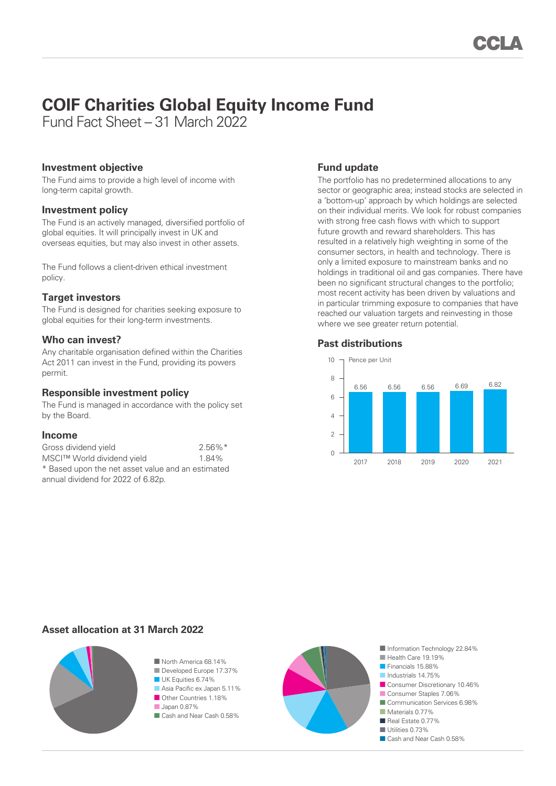# **COIF Charities Global Equity Income Fund**

Fund Fact Sheet – 31 March 2022

## **Investment objective**

The Fund aims to provide a high level of income with long-term capital growth.

## **Investment policy**

The Fund is an actively managed, diversified portfolio of global equities. It will principally invest in UK and overseas equities, but may also invest in other assets.

The Fund follows a client-driven ethical investment policy.

## **Target investors**

The Fund is designed for charities seeking exposure to global equities for their long-term investments.

## **Who can invest?**

Any charitable organisation defined within the Charities Act 2011 can invest in the Fund, providing its powers permit.

## **Responsible investment policy**

The Fund is managed in accordance with the policy set by the Board.

#### **Income**

| Gross dividend yield                              | $2.56\%$ <sup>*</sup> |
|---------------------------------------------------|-----------------------|
| MSCI™ World dividend yield                        | 1.84%                 |
| * Based upon the net asset value and an estimated |                       |
| annual dividend for 2022 of 6.82p.                |                       |

# **Fund update**

The portfolio has no predetermined allocations to any sector or geographic area; instead stocks are selected in a 'bottom-up' approach by which holdings are selected on their individual merits. We look for robust companies with strong free cash flows with which to support future growth and reward shareholders. This has resulted in a relatively high weighting in some of the consumer sectors, in health and technology. There is only a limited exposure to mainstream banks and no holdings in traditional oil and gas companies. There have been no significant structural changes to the portfolio; most recent activity has been driven by valuations and in particular trimming exposure to companies that have reached our valuation targets and reinvesting in those where we see greater return potential.

#### **Past distributions**



# **Asset allocation at 31 March 2022**



■ North America 68.14% ■ Developed Europe 17.37% ■ UK Equities 6.74% ■ Asia Pacific ex Japan 5.11% ■ Other Countries 1.18%

■ Japan 0.87% ■ Cash and Near Cash 0.58%



■ Information Technology 22.84% ■ Health Care 19.19% ■ Financials 15.88% ■ Industrials 14.75% ■ Consumer Discretionary 10.46% ■ Consumer Staples 7.06% ■ Communication Services 6.98% ■ Materials 0.77% ■ Real Estate 0.77% ■ Utilities 0.73% ■ Cash and Near Cash 0.58%